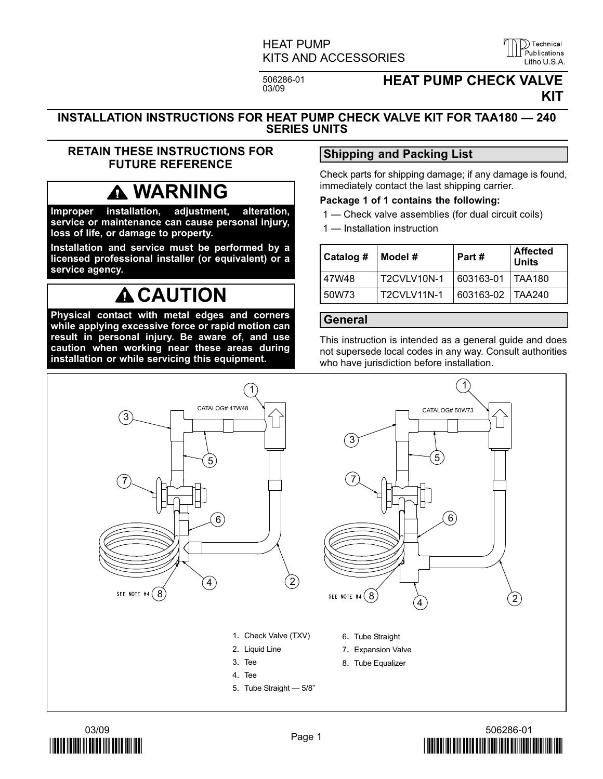### HEAT PUMP KITS AND ACCESSORIES LILL Publications

506286-01<br>03/09

### **HEAT PUMP CHECK VALVE** KIT

#### INSTALLATION INSTRUCTIONS FOR HEAT PUMP CHECK VALVE KIT FOR TAA180 — 240 SERIES UNITS

#### RETAIN THESE INSTRUCTIONS FOR FUTURE REFERENCE

## WARNING

Improper installation, adjustment, alteration, service or maintenance can cause personal injury, loss of life, or damage to property.

Installation and service must be performed by a licensed professional installer (or equivalent) or a service agency.

## **A CAUTION**

Physical contact with metal edges and corners while applying excessive force or rapid motion can result in personal injury. Be aware of, and use caution when working near these areas during installation or while servicing this equipment.

### Shipping and Packing List

Check parts for shipping damage; if any damage is found, immediately contact the last shipping carrier.

#### Package 1 of 1 contains the following:

- 1 Check valve assemblies (for dual circuit coils)
- 1 Installation instruction

| Catalog # | Model #     | Part#              | <b>Affected</b><br><b>Units</b> |
|-----------|-------------|--------------------|---------------------------------|
| 47W48     | T2CVLV10N-1 | 603163-01   TAA180 |                                 |
| 50W73     | T2CVLV11N-1 | 603163-02   TAA240 |                                 |

#### General

This instruction is intended as a general guide and does not supersede local codes in any way. Consult authorities who have jurisdiction before installation.







D Technical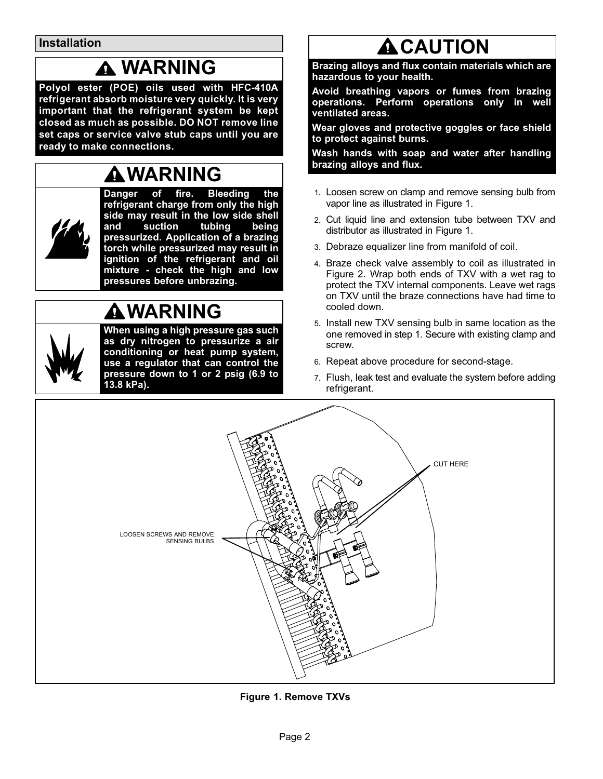Installation

### WARNING

Polyol ester (POE) oils used with HFC−410A refrigerant absorb moisture very quickly. It is very important that the refrigerant system be kept closed as much as possible. DO NOT remove line set caps or service valve stub caps until you are ready to make connections.

## WARNING



Danger of fire. Bleeding the refrigerant charge from only the high side may result in the low side shell<br>and suction tubing being and suction tubing being pressurized. Application of a brazing torch while pressurized may result in ignition of the refrigerant and oil mixture − check the high and low pressures before unbrazing.

## WARNING

When using a high pressure gas such as dry nitrogen to pressurize a air conditioning or heat pump system, use a regulator that can control the pressure down to 1 or 2 psig (6.9 to 13.8 kPa).

# **ACAUTION**

Brazing alloys and flux contain materials which are hazardous to your health.

Avoid breathing vapors or fumes from brazing operations. Perform operations only in well ventilated areas.

Wear gloves and protective goggles or face shield to protect against burns.

Wash hands with soap and water after handling brazing alloys and flux.

- 1. Loosen screw on clamp and remove sensing bulb from vapor line as illustrated in Figure 1.
- 2. Cut liquid line and extension tube between TXV and distributor as illustrated in Figure 1.
- 3. Debraze equalizer line from manifold of coil.
- 4. Braze check valve assembly to coil as illustrated in Figure [2.](#page-2-0) Wrap both ends of TXV with a wet rag to protect the TXV internal components. Leave wet rags on TXV until the braze connections have had time to cooled down.
- 5. Install new TXV sensing bulb in same location as the one removed in step 1. Secure with existing clamp and screw.
- 6. Repeat above procedure for second−stage.
- 7. Flush, leak test and evaluate the system before adding refrigerant.



Figure 1. Remove TXVs